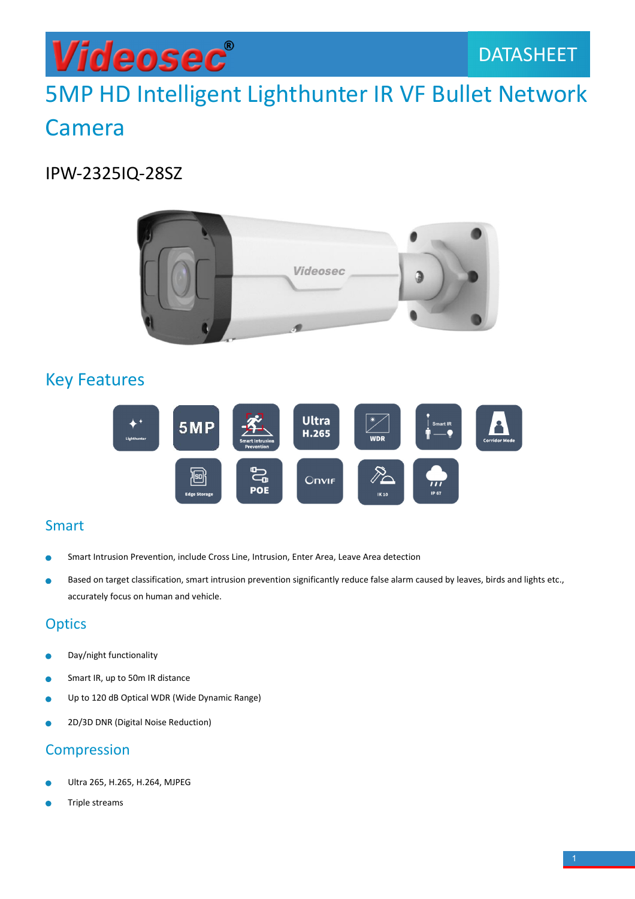## 5MP HD Intelligent Lighthunter IR VF Bullet Network Camera

### IPW-2325IQ-28SZ



### Key Features



#### Smart

- Smart Intrusion Prevention, include Cross Line, Intrusion, Enter Area, Leave Area detection
- Based on target classification, smart intrusion prevention significantly reduce false alarm caused by leaves, birds and lights etc., accurately focus on human and vehicle.

#### **Optics**

- Day/night functionality Ċ
- Smart IR, up to 50m IR distance ٠
- Up to 120 dB Optical WDR (Wide Dynamic Range)
- 2D/3D DNR (Digital Noise Reduction)

#### Compression

- Ultra 265, H.265, H.264, MJPEG
- Triple streams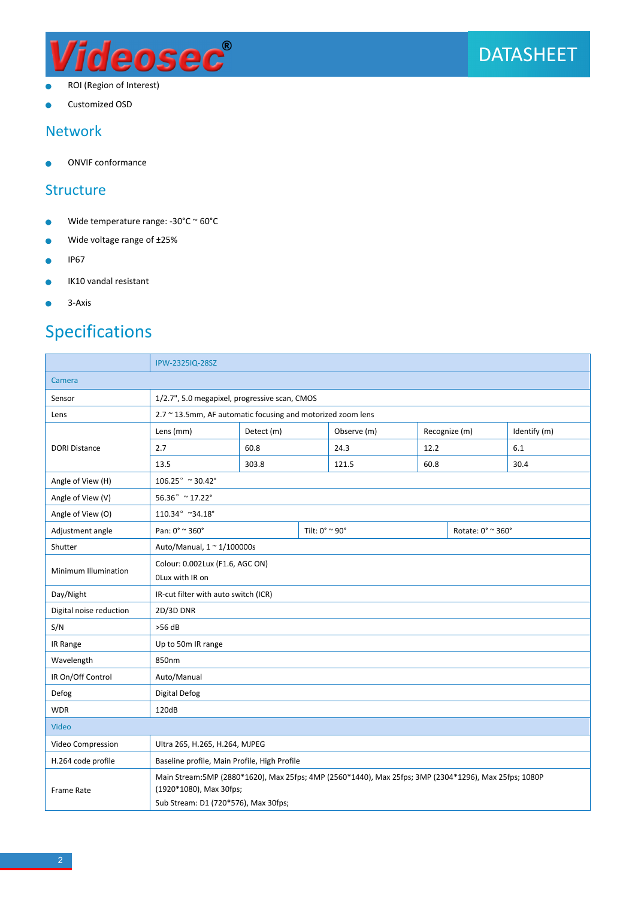

- ROI (Region of Interest)  $\bullet$
- Customized OSD

#### Network

ONVIF conformance ۰

#### **Structure**

- Wide temperature range: -30°C ~ 60°C  $\bullet$
- Wide voltage range of ±25%  $\bullet$
- $\bullet$ IP67
- IK10 vandal resistant  $\bullet$
- 3-Axis ö

### Specifications

|                         | IPW-2325IQ-28SZ                                                                                                                                                           |       |                                  |               |               |                   |              |
|-------------------------|---------------------------------------------------------------------------------------------------------------------------------------------------------------------------|-------|----------------------------------|---------------|---------------|-------------------|--------------|
| Camera                  |                                                                                                                                                                           |       |                                  |               |               |                   |              |
| Sensor                  | 1/2.7", 5.0 megapixel, progressive scan, CMOS                                                                                                                             |       |                                  |               |               |                   |              |
| Lens                    | 2.7 ~ 13.5mm, AF automatic focusing and motorized zoom lens                                                                                                               |       |                                  |               |               |                   |              |
|                         | Detect (m)<br>Lens (mm)                                                                                                                                                   |       |                                  | Observe (m)   | Recognize (m) |                   | Identify (m) |
| <b>DORI Distance</b>    | 2.7                                                                                                                                                                       | 60.8  |                                  | 24.3          | 12.2          |                   | 6.1          |
|                         | 13.5                                                                                                                                                                      | 303.8 |                                  | 121.5<br>60.8 |               |                   | 30.4         |
| Angle of View (H)       | $106.25^{\circ}$ ~ $30.42^{\circ}$                                                                                                                                        |       |                                  |               |               |                   |              |
| Angle of View (V)       | $56.36^{\circ}$ ~ 17.22°                                                                                                                                                  |       |                                  |               |               |                   |              |
| Angle of View (O)       | $110.34^{\circ}$ ~34.18°                                                                                                                                                  |       |                                  |               |               |                   |              |
| Adjustment angle        | Pan: 0° ~ 360°                                                                                                                                                            |       | Tilt: $0^\circ \approx 90^\circ$ |               |               | Rotate: 0° ~ 360° |              |
| Shutter                 | Auto/Manual, 1 ~ 1/100000s                                                                                                                                                |       |                                  |               |               |                   |              |
| Minimum Illumination    | Colour: 0.002Lux (F1.6, AGC ON)<br>OLux with IR on                                                                                                                        |       |                                  |               |               |                   |              |
| Day/Night               | IR-cut filter with auto switch (ICR)                                                                                                                                      |       |                                  |               |               |                   |              |
| Digital noise reduction | 2D/3D DNR                                                                                                                                                                 |       |                                  |               |               |                   |              |
| S/N                     | $>56$ dB                                                                                                                                                                  |       |                                  |               |               |                   |              |
| IR Range                | Up to 50m IR range                                                                                                                                                        |       |                                  |               |               |                   |              |
| Wavelength              | 850nm                                                                                                                                                                     |       |                                  |               |               |                   |              |
| IR On/Off Control       | Auto/Manual                                                                                                                                                               |       |                                  |               |               |                   |              |
| Defog                   | Digital Defog                                                                                                                                                             |       |                                  |               |               |                   |              |
| <b>WDR</b>              | 120dB                                                                                                                                                                     |       |                                  |               |               |                   |              |
| Video                   |                                                                                                                                                                           |       |                                  |               |               |                   |              |
| Video Compression       | Ultra 265, H.265, H.264, MJPEG                                                                                                                                            |       |                                  |               |               |                   |              |
| H.264 code profile      | Baseline profile, Main Profile, High Profile                                                                                                                              |       |                                  |               |               |                   |              |
| Frame Rate              | Main Stream: 5MP (2880*1620), Max 25fps; 4MP (2560*1440), Max 25fps; 3MP (2304*1296), Max 25fps; 1080P<br>(1920*1080), Max 30fps;<br>Sub Stream: D1 (720*576), Max 30fps; |       |                                  |               |               |                   |              |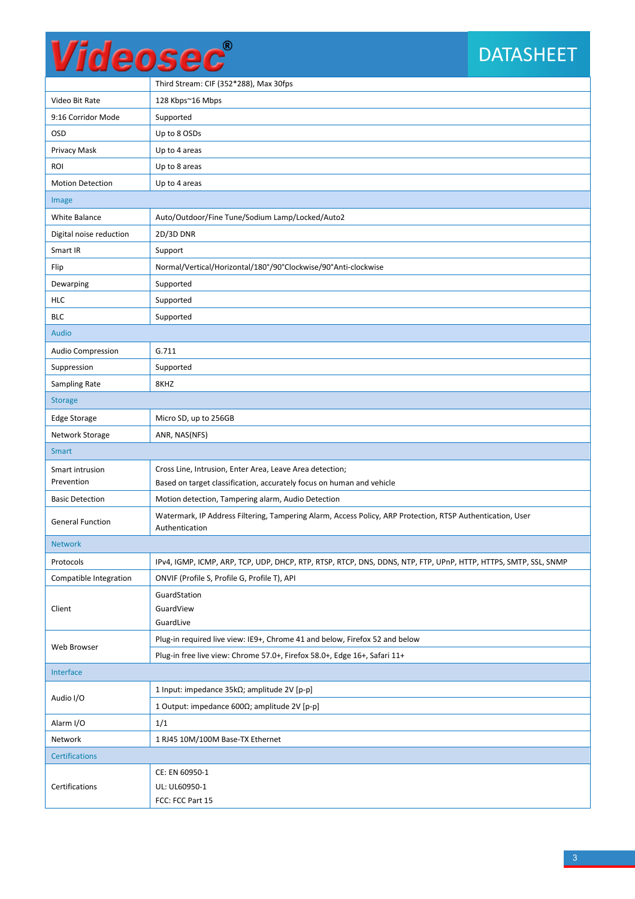## **DATASHEET**

|                          | Third Stream: CIF (352*288), Max 30fps                                                                                       |  |  |  |  |
|--------------------------|------------------------------------------------------------------------------------------------------------------------------|--|--|--|--|
| Video Bit Rate           | 128 Kbps~16 Mbps                                                                                                             |  |  |  |  |
| 9:16 Corridor Mode       | Supported                                                                                                                    |  |  |  |  |
| OSD                      | Up to 8 OSDs                                                                                                                 |  |  |  |  |
| Privacy Mask             | Up to 4 areas                                                                                                                |  |  |  |  |
| ROI                      | Up to 8 areas                                                                                                                |  |  |  |  |
| <b>Motion Detection</b>  | Up to 4 areas                                                                                                                |  |  |  |  |
| Image                    |                                                                                                                              |  |  |  |  |
| White Balance            | Auto/Outdoor/Fine Tune/Sodium Lamp/Locked/Auto2                                                                              |  |  |  |  |
| Digital noise reduction  | 2D/3D DNR                                                                                                                    |  |  |  |  |
| Smart IR                 | Support                                                                                                                      |  |  |  |  |
| Flip                     | Normal/Vertical/Horizontal/180°/90°Clockwise/90°Anti-clockwise                                                               |  |  |  |  |
| Dewarping                | Supported                                                                                                                    |  |  |  |  |
| <b>HLC</b>               | Supported                                                                                                                    |  |  |  |  |
| <b>BLC</b>               | Supported                                                                                                                    |  |  |  |  |
| Audio                    |                                                                                                                              |  |  |  |  |
| <b>Audio Compression</b> | G.711                                                                                                                        |  |  |  |  |
| Suppression              | Supported                                                                                                                    |  |  |  |  |
| Sampling Rate            | 8KHZ                                                                                                                         |  |  |  |  |
| <b>Storage</b>           |                                                                                                                              |  |  |  |  |
| <b>Edge Storage</b>      | Micro SD, up to 256GB                                                                                                        |  |  |  |  |
| Network Storage          | ANR, NAS(NFS)                                                                                                                |  |  |  |  |
| <b>Smart</b>             |                                                                                                                              |  |  |  |  |
| Smart intrusion          | Cross Line, Intrusion, Enter Area, Leave Area detection;                                                                     |  |  |  |  |
| Prevention               | Based on target classification, accurately focus on human and vehicle                                                        |  |  |  |  |
| <b>Basic Detection</b>   | Motion detection, Tampering alarm, Audio Detection                                                                           |  |  |  |  |
| <b>General Function</b>  | Watermark, IP Address Filtering, Tampering Alarm, Access Policy, ARP Protection, RTSP Authentication, User<br>Authentication |  |  |  |  |
| <b>Network</b>           |                                                                                                                              |  |  |  |  |
| Protocols                | IPv4, IGMP, ICMP, ARP, TCP, UDP, DHCP, RTP, RTSP, RTCP, DNS, DDNS, NTP, FTP, UPnP, HTTP, HTTPS, SMTP, SSL, SNMP              |  |  |  |  |
| Compatible Integration   | ONVIF (Profile S, Profile G, Profile T), API                                                                                 |  |  |  |  |
| Client                   | GuardStation                                                                                                                 |  |  |  |  |
|                          | GuardView                                                                                                                    |  |  |  |  |
|                          | GuardLive                                                                                                                    |  |  |  |  |
| Web Browser              | Plug-in required live view: IE9+, Chrome 41 and below, Firefox 52 and below                                                  |  |  |  |  |
|                          | Plug-in free live view: Chrome 57.0+, Firefox 58.0+, Edge 16+, Safari 11+                                                    |  |  |  |  |
| Interface                |                                                                                                                              |  |  |  |  |
| Audio I/O                | 1 Input: impedance 35kΩ; amplitude 2V [p-p]                                                                                  |  |  |  |  |
|                          | 1 Output: impedance 600 $\Omega$ ; amplitude 2V [p-p]                                                                        |  |  |  |  |
| Alarm I/O                | 1/1                                                                                                                          |  |  |  |  |
| Network                  | 1 RJ45 10M/100M Base-TX Ethernet                                                                                             |  |  |  |  |
| <b>Certifications</b>    |                                                                                                                              |  |  |  |  |
|                          |                                                                                                                              |  |  |  |  |
|                          | CE: EN 60950-1                                                                                                               |  |  |  |  |
| Certifications           | UL: UL60950-1<br>FCC: FCC Part 15                                                                                            |  |  |  |  |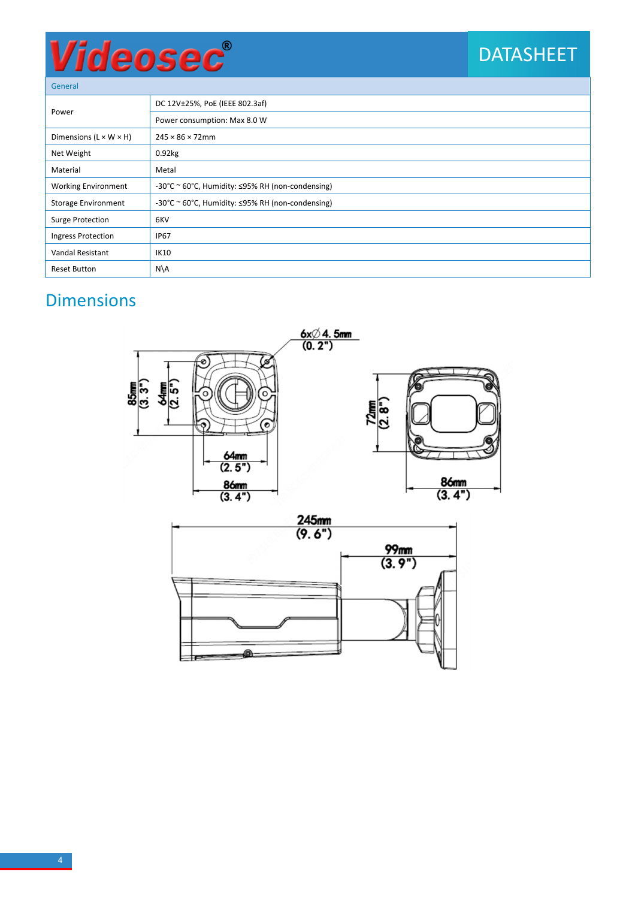## DATASHEET

General

| uunu                               |                                                  |  |  |  |
|------------------------------------|--------------------------------------------------|--|--|--|
| Power                              | DC 12V±25%, PoE (IEEE 802.3af)                   |  |  |  |
|                                    | Power consumption: Max 8.0 W                     |  |  |  |
| Dimensions $(L \times W \times H)$ | $245 \times 86 \times 72$ mm                     |  |  |  |
| Net Weight                         | $0.92$ <sub>kg</sub>                             |  |  |  |
| Material                           | Metal                                            |  |  |  |
| <b>Working Environment</b>         | -30°C ~ 60°C, Humidity: ≤95% RH (non-condensing) |  |  |  |
| <b>Storage Environment</b>         | -30°C ~ 60°C, Humidity: ≤95% RH (non-condensing) |  |  |  |
| Surge Protection                   | 6KV                                              |  |  |  |
| Ingress Protection                 | <b>IP67</b>                                      |  |  |  |
| Vandal Resistant                   | <b>IK10</b>                                      |  |  |  |
| <b>Reset Button</b>                | N\A                                              |  |  |  |

## **Dimensions**